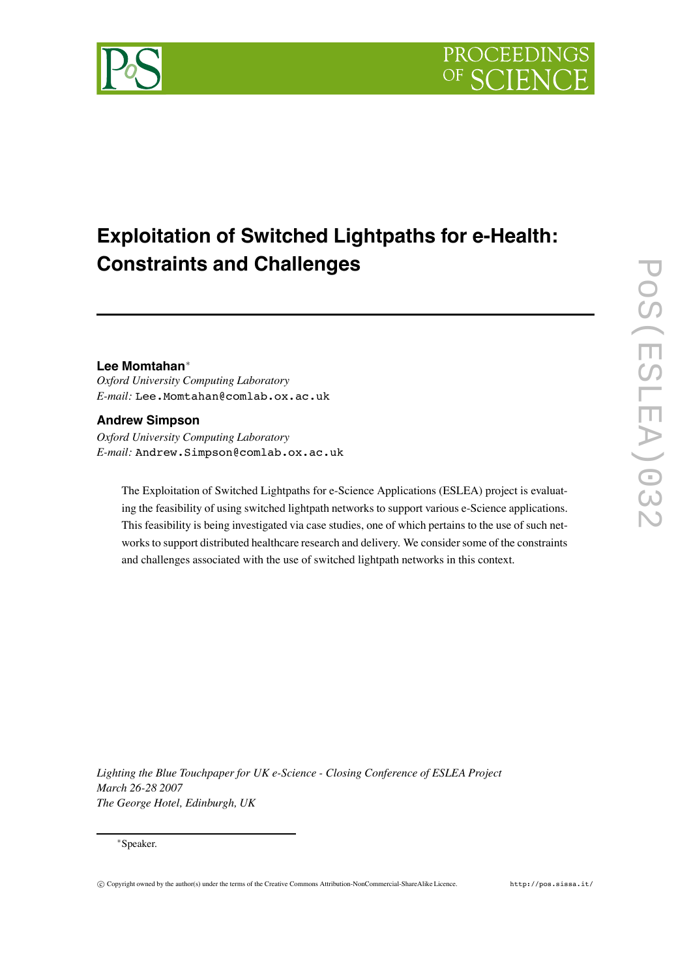

# **Exploitation of Switched Lightpaths for e-Health: Constraints and Challenges**

# **Lee Momtahan**∗

*Oxford University Computing Laboratory E-mail:* Lee.Momtahan@comlab.ox.ac.uk

# **Andrew Simpson**

*Oxford University Computing Laboratory E-mail:* Andrew.Simpson@comlab.ox.ac.uk

The Exploitation of Switched Lightpaths for e-Science Applications (ESLEA) project is evaluating the feasibility of using switched lightpath networks to support various e-Science applications. This feasibility is being investigated via case studies, one of which pertains to the use of such networks to support distributed healthcare research and delivery. We consider some of the constraints and challenges associated with the use of switched lightpath networks in this context.

*Lighting the Blue Touchpaper for UK e-Science - Closing Conference of ESLEA Project March 26-28 2007 The George Hotel, Edinburgh, UK*

#### ∗Speaker.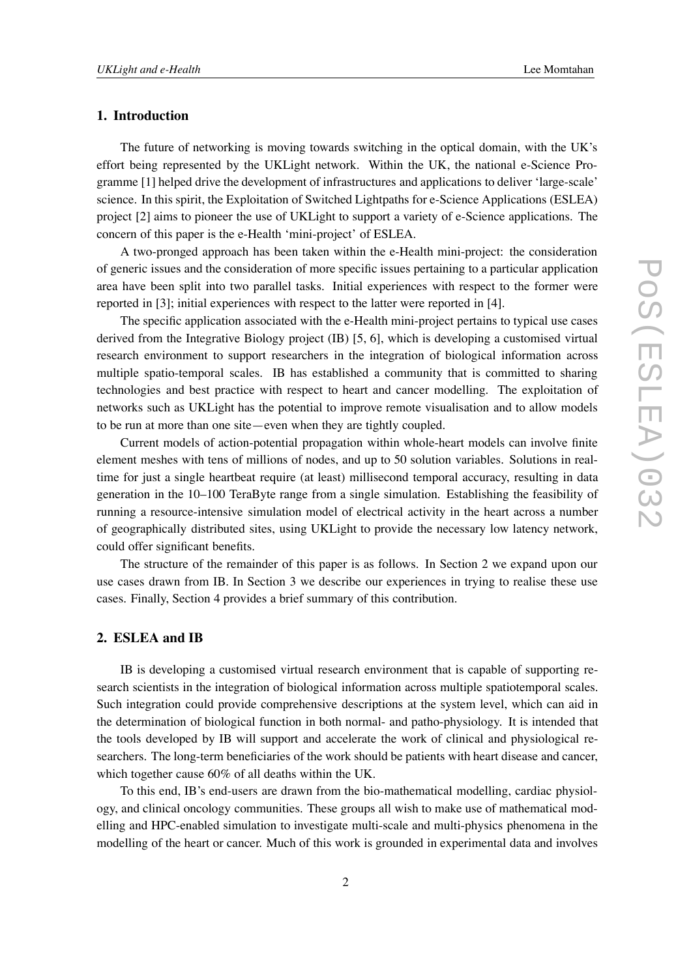# **1. Introduction**

The future of networking is moving towards switching in the optical domain, with the UK's effort being represented by the UKLight network. Within the UK, the national e-Science Programme [1] helped drive the development of infrastructures and applications to deliver 'large-scale' science. In this spirit, the Exploitation of Switched Lightpaths for e-Science Applications (ESLEA) project [2] aims to pioneer the use of UKLight to support a variety of e-Science applications. The concern of this paper is the e-Health 'mini-project' of ESLEA.

A two-pronged approach has been taken within the e-Health mini-project: the consideration of generic issues and the consideration of more specific issues pertaining to a particular application area have been split into two parallel tasks. Initial experiences with respect to the former were reported in [3]; initial experiences with respect to the latter were reported in [4].

The specific application associated with the e-Health mini-project pertains to typical use cases derived from the Integrative Biology project (IB) [5, 6], which is developing a customised virtual research environment to support researchers in the integration of biological information across multiple spatio-temporal scales. IB has established a community that is committed to sharing technologies and best practice with respect to heart and cancer modelling. The exploitation of networks such as UKLight has the potential to improve remote visualisation and to allow models to be run at more than one site—even when they are tightly coupled.

Current models of action-potential propagation within whole-heart models can involve finite element meshes with tens of millions of nodes, and up to 50 solution variables. Solutions in realtime for just a single heartbeat require (at least) millisecond temporal accuracy, resulting in data generation in the 10–100 TeraByte range from a single simulation. Establishing the feasibility of running a resource-intensive simulation model of electrical activity in the heart across a number of geographically distributed sites, using UKLight to provide the necessary low latency network, could offer significant benefits.

The structure of the remainder of this paper is as follows. In Section 2 we expand upon our use cases drawn from IB. In Section 3 we describe our experiences in trying to realise these use cases. Finally, Section 4 provides a brief summary of this contribution.

### **2. ESLEA and IB**

IB is developing a customised virtual research environment that is capable of supporting research scientists in the integration of biological information across multiple spatiotemporal scales. Such integration could provide comprehensive descriptions at the system level, which can aid in the determination of biological function in both normal- and patho-physiology. It is intended that the tools developed by IB will support and accelerate the work of clinical and physiological researchers. The long-term beneficiaries of the work should be patients with heart disease and cancer, which together cause 60% of all deaths within the UK.

To this end, IB's end-users are drawn from the bio-mathematical modelling, cardiac physiology, and clinical oncology communities. These groups all wish to make use of mathematical modelling and HPC-enabled simulation to investigate multi-scale and multi-physics phenomena in the modelling of the heart or cancer. Much of this work is grounded in experimental data and involves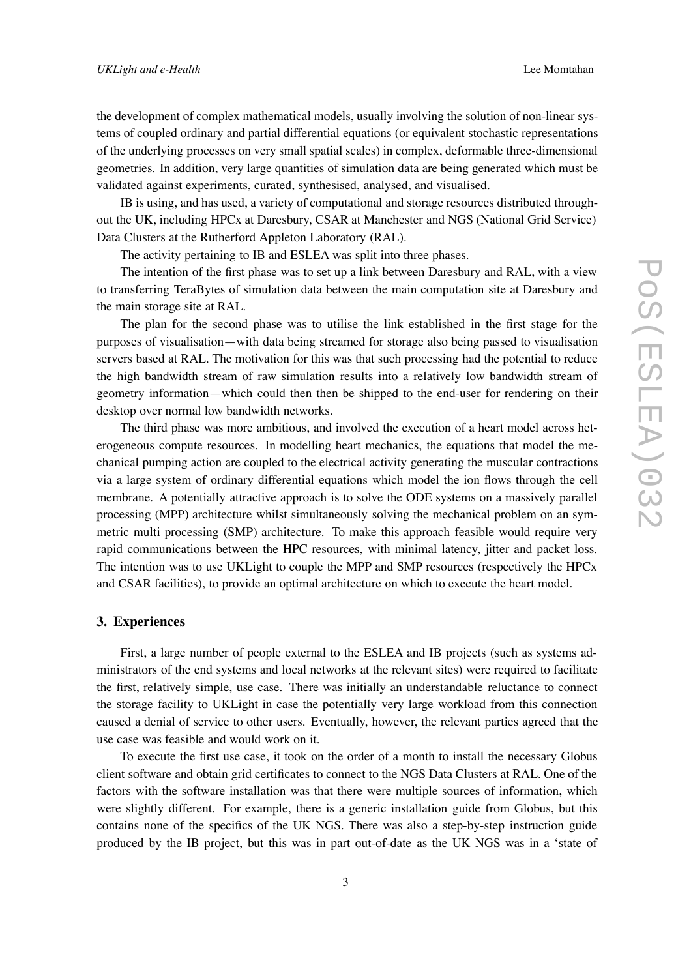the development of complex mathematical models, usually involving the solution of non-linear systems of coupled ordinary and partial differential equations (or equivalent stochastic representations of the underlying processes on very small spatial scales) in complex, deformable three-dimensional geometries. In addition, very large quantities of simulation data are being generated which must be validated against experiments, curated, synthesised, analysed, and visualised.

IB is using, and has used, a variety of computational and storage resources distributed throughout the UK, including HPCx at Daresbury, CSAR at Manchester and NGS (National Grid Service) Data Clusters at the Rutherford Appleton Laboratory (RAL).

The activity pertaining to IB and ESLEA was split into three phases.

The intention of the first phase was to set up a link between Daresbury and RAL, with a view to transferring TeraBytes of simulation data between the main computation site at Daresbury and the main storage site at RAL.

The plan for the second phase was to utilise the link established in the first stage for the purposes of visualisation—with data being streamed for storage also being passed to visualisation servers based at RAL. The motivation for this was that such processing had the potential to reduce the high bandwidth stream of raw simulation results into a relatively low bandwidth stream of geometry information—which could then then be shipped to the end-user for rendering on their desktop over normal low bandwidth networks.

The third phase was more ambitious, and involved the execution of a heart model across heterogeneous compute resources. In modelling heart mechanics, the equations that model the mechanical pumping action are coupled to the electrical activity generating the muscular contractions via a large system of ordinary differential equations which model the ion flows through the cell membrane. A potentially attractive approach is to solve the ODE systems on a massively parallel processing (MPP) architecture whilst simultaneously solving the mechanical problem on an symmetric multi processing (SMP) architecture. To make this approach feasible would require very rapid communications between the HPC resources, with minimal latency, jitter and packet loss. The intention was to use UKLight to couple the MPP and SMP resources (respectively the HPCx and CSAR facilities), to provide an optimal architecture on which to execute the heart model.

# **3. Experiences**

First, a large number of people external to the ESLEA and IB projects (such as systems administrators of the end systems and local networks at the relevant sites) were required to facilitate the first, relatively simple, use case. There was initially an understandable reluctance to connect the storage facility to UKLight in case the potentially very large workload from this connection caused a denial of service to other users. Eventually, however, the relevant parties agreed that the use case was feasible and would work on it.

To execute the first use case, it took on the order of a month to install the necessary Globus client software and obtain grid certificates to connect to the NGS Data Clusters at RAL. One of the factors with the software installation was that there were multiple sources of information, which were slightly different. For example, there is a generic installation guide from Globus, but this contains none of the specifics of the UK NGS. There was also a step-by-step instruction guide produced by the IB project, but this was in part out-of-date as the UK NGS was in a 'state of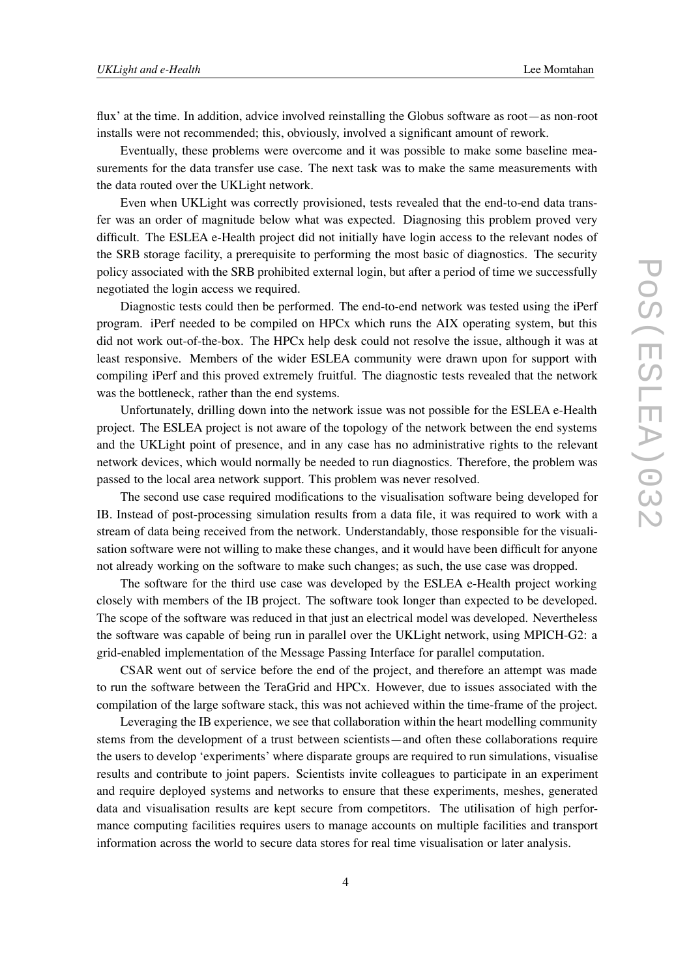flux' at the time. In addition, advice involved reinstalling the Globus software as root—as non-root installs were not recommended; this, obviously, involved a significant amount of rework.

Eventually, these problems were overcome and it was possible to make some baseline measurements for the data transfer use case. The next task was to make the same measurements with the data routed over the UKLight network.

Even when UKLight was correctly provisioned, tests revealed that the end-to-end data transfer was an order of magnitude below what was expected. Diagnosing this problem proved very difficult. The ESLEA e-Health project did not initially have login access to the relevant nodes of the SRB storage facility, a prerequisite to performing the most basic of diagnostics. The security policy associated with the SRB prohibited external login, but after a period of time we successfully negotiated the login access we required.

Diagnostic tests could then be performed. The end-to-end network was tested using the iPerf program. iPerf needed to be compiled on HPCx which runs the AIX operating system, but this did not work out-of-the-box. The HPCx help desk could not resolve the issue, although it was at least responsive. Members of the wider ESLEA community were drawn upon for support with compiling iPerf and this proved extremely fruitful. The diagnostic tests revealed that the network was the bottleneck, rather than the end systems.

Unfortunately, drilling down into the network issue was not possible for the ESLEA e-Health project. The ESLEA project is not aware of the topology of the network between the end systems and the UKLight point of presence, and in any case has no administrative rights to the relevant network devices, which would normally be needed to run diagnostics. Therefore, the problem was passed to the local area network support. This problem was never resolved.

The second use case required modifications to the visualisation software being developed for IB. Instead of post-processing simulation results from a data file, it was required to work with a stream of data being received from the network. Understandably, those responsible for the visualisation software were not willing to make these changes, and it would have been difficult for anyone not already working on the software to make such changes; as such, the use case was dropped.

The software for the third use case was developed by the ESLEA e-Health project working closely with members of the IB project. The software took longer than expected to be developed. The scope of the software was reduced in that just an electrical model was developed. Nevertheless the software was capable of being run in parallel over the UKLight network, using MPICH-G2: a grid-enabled implementation of the Message Passing Interface for parallel computation.

CSAR went out of service before the end of the project, and therefore an attempt was made to run the software between the TeraGrid and HPCx. However, due to issues associated with the compilation of the large software stack, this was not achieved within the time-frame of the project.

Leveraging the IB experience, we see that collaboration within the heart modelling community stems from the development of a trust between scientists—and often these collaborations require the users to develop 'experiments' where disparate groups are required to run simulations, visualise results and contribute to joint papers. Scientists invite colleagues to participate in an experiment and require deployed systems and networks to ensure that these experiments, meshes, generated data and visualisation results are kept secure from competitors. The utilisation of high performance computing facilities requires users to manage accounts on multiple facilities and transport information across the world to secure data stores for real time visualisation or later analysis.